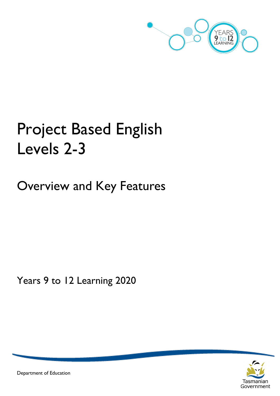

# Project Based English Levels 2-3

Overview and Key Features

Years 9 to 12 Learning 2020



Department of Education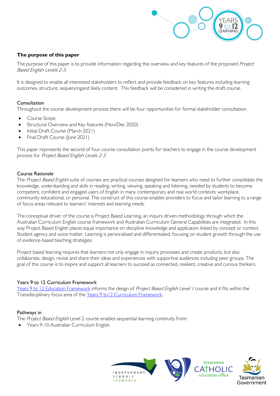

#### **The purpose of this paper**

The purpose of this paper is to provide information regarding the overview and key features of the proposed Project Based English Levels 2-3.

It is designed to enable all interested stakeholders to reflect and provide feedback on key features including learning outcomes, structure, sequencingand likely content. This feedback will be considered in writing the draft course.

#### Consultation

Throughout the course development process there will be four opportunities for formal stakeholder consultation:

- Course Scope
- Structural Overview and Key features (Nov/Dec 2020)
- Initial Draft Course (March 2021)
- Final Draft Course (June 2021)

This paper represents the second of four course consultation points for teachers to engage in the course development process for Project Based English Levels 2-3.

#### Course Rationale

The Project Based English suite of courses are practical courses designed for learners who need to further consolidate the knowledge, understanding and skills in reading, writing, viewing, speaking and listening, needed by students to become competent, confident and engaged users of English in many contemporary and real world contexts: workplace, community educational, or personal. The construct of this course enables providers to focus and tailor learning to a range of focus areas relevant to learners' interests and learning needs.

The conceptual driver of the course is Project Based Learning, an inquiry driven methodology through which the Australian Curriculum English course framework and Australian Curriculum General Capabilities are integrated. In this way Project Based English places equal importance on discipline knowledge and application linked by concept or context. Student agency and voice matter. Learning is personalised and differentiated, focusing on student growth through the use of evidence-based teaching strategies.

Project based learning requires that learners not only engage in inquiry processes and create products, but also collaborate, design, revise and share their ideas and experiences with supportive audiences including peer groups. The goal of this course is to inspire and support all learners to succeed as connected, resilient, creative and curious thinkers.

#### Years 9 to 12 Curriculum Framework

[Years 9 to 12 Education Framework](https://publicdocumentcentre.education.tas.gov.au/library/Shared%20Documents/Years-9-to-12-Education-Framework.pdf) informs the design of Project Based English Level / course and it fits within the Transdisciplinary focus area of the Years 9 to 12 Curriculum Framework.

#### Pathways in

The Project Based English Level 2 course enables sequential learning continuity from:

• Years 9-10 Australian Curriculum English

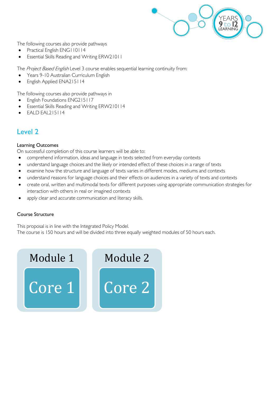

The following courses also provide pathways

- Practical English ENG110114
- Essential Skills Reading and Writing ERW21011

The Project Based English Level 3 course enables sequential learning continuity from:

- Years 9-10 Australian Curriculum English
- English Applied ENA215114

The following courses also provide pathways in

- English Foundations ENG215117
- Essential Skills Reading and Writing ERW210114
- EALD EAL215114

### Level 2

#### Learning Outcomes

On successful completion of this course learners will be able to:

- comprehend information, ideas and language in texts selected from everyday contexts
- understand language choices and the likely or intended effect of these choices in a range of texts
- examine how the structure and language of texts varies in different modes, mediums and contexts
- understand reasons for language choices and their effects on audiences in a variety of texts and contexts
- create oral, written and multimodal texts for different purposes using appropriate communication strategies for interaction with others in real or imagined contexts
- apply clear and accurate communication and literacy skills.

#### Course Structure

This proposal is in line with the Integrated Policy Model. The course is 150 hours and will be divided into three equally weighted modules of 50 hours each.

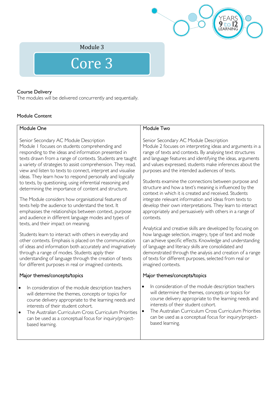

Module 3

## Core 3

#### Course Delivery

The modules will be delivered concurrently and sequentially.

#### Module Content

| Module One                                                   | Module Two                                                  |
|--------------------------------------------------------------|-------------------------------------------------------------|
|                                                              |                                                             |
| Senior Secondary AC Module Description                       | Senior Secondary AC Module Description                      |
| Module I focuses on students comprehending and               | Module 2 focuses on interpreting ideas and arguments in a   |
| responding to the ideas and information presented in         | range of texts and contexts. By analysing text structures   |
| texts drawn from a range of contexts. Students are taught    | and language features and identifying the ideas, arguments  |
| a variety of strategies to assist comprehension. They read,  | and values expressed, students make inferences about the    |
| view and listen to texts to connect, interpret and visualise | purposes and the intended audiences of texts.               |
| ideas. They learn how to respond personally and logically    |                                                             |
| to texts, by questioning, using inferential reasoning and    | Students examine the connections between purpose and        |
| determining the importance of content and structure.         | structure and how a text's meaning is influenced by the     |
|                                                              | context in which it is created and received. Students       |
| The Module considers how organisational features of          | integrate relevant information and ideas from texts to      |
| texts help the audience to understand the text. It           | develop their own interpretations. They learn to interact   |
| emphasises the relationships between context, purpose        | appropriately and persuasively with others in a range of    |
| and audience in different language modes and types of        | contexts.                                                   |
| texts, and their impact on meaning.                          |                                                             |
|                                                              | Analytical and creative skills are developed by focusing on |
| Students learn to interact with others in everyday and       | how language selection, imagery, type of text and mode      |
| other contexts. Emphasis is placed on the communication      | can achieve specific effects Knowledge and understanding    |

other contexts. Emphasis is placed on the communication of ideas and information both accurately and imaginatively through a range of modes. Students apply their understanding of language through the creation of texts for different purposes in real or imagined contexts.

#### Major themes/concepts/topics

- In consideration of the module description teachers will determine the themes, concepts or topics for course delivery appropriate to the learning needs and interests of their student cohort.
- The Australian Curriculum Cross Curriculum Priorities can be used as a conceptual focus for inquiry/projectbased learning.

e specific effects. Knowledge and ur of language and literacy skills are consolidated and demonstrated through the analysis and creation of a range of texts for different purposes, selected from real or imagined contexts.

#### Major themes/concepts/topics

- In consideration of the module description teachers will determine the themes, concepts or topics for course delivery appropriate to the learning needs and interests of their student cohort.
- The Australian Curriculum Cross Curriculum Priorities can be used as a conceptual focus for inquiry/projectbased learning.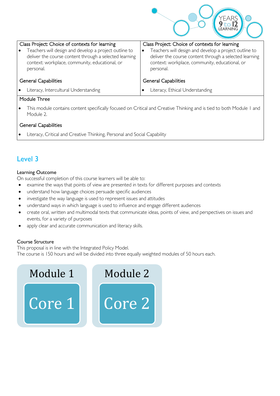

| Class Project: Choice of contexts for learning                                                                                                                                              | Class Project: Choice of contexts for learning                                                                                                                                 |  |  |  |
|---------------------------------------------------------------------------------------------------------------------------------------------------------------------------------------------|--------------------------------------------------------------------------------------------------------------------------------------------------------------------------------|--|--|--|
| Teachers will design and develop a project outline to<br>$\bullet$<br>deliver the course content through a selected learning<br>context: workplace, community, educational, or<br>personal. | Teachers will design and develop a project outline to<br>deliver the course content through a selected learning<br>context: workplace, community, educational, or<br>personal. |  |  |  |
| <b>General Capabilities</b>                                                                                                                                                                 | <b>General Capabilities</b>                                                                                                                                                    |  |  |  |
| Literacy, Intercultural Understanding<br>$\bullet$                                                                                                                                          | Literacy, Ethical Understanding                                                                                                                                                |  |  |  |

#### Module Three

• This module contains content specifically focused on Critical and Creative Thinking and is tied to both Module 1 and Module 2.

#### General Capabilities

Literacy, Critical and Creative Thinking, Personal and Social Capability

### Level 3

#### Learning Outcome

On successful completion of this course learners will be able to:

- examine the ways that points of view are presented in texts for different purposes and contexts
- understand how language choices persuade specific audiences
- investigate the way language is used to represent issues and attitudes
- understand ways in which language is used to influence and engage different audiences
- create oral, written and multimodal texts that communicate ideas, points of view, and perspectives on issues and events, for a variety of purposes
- apply clear and accurate communication and literacy skills.

#### Course Structure

This proposal is in line with the Integrated Policy Model.

The course is 150 hours and will be divided into three equally weighted modules of 50 hours each.

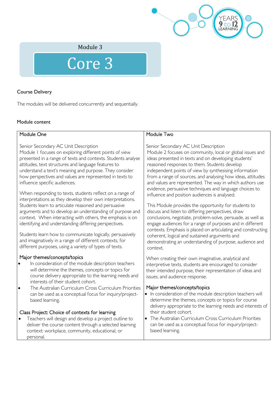

Module 3

# Core 3

#### Course Delivery

The modules will be delivered concurrently and sequentially.

#### Module content

| Module One                                                                                                                                                                                                                                                                                                                                                                                                                                                                                                                                                                                                                                                                                                                                                                                                                                                                                                                        | Module Two                                                                                                                                                                                                                                                                                                                                                                                                                                                                                                                                                                                                                                                                                                                                                                                                                                                                                                                                    |  |  |  |
|-----------------------------------------------------------------------------------------------------------------------------------------------------------------------------------------------------------------------------------------------------------------------------------------------------------------------------------------------------------------------------------------------------------------------------------------------------------------------------------------------------------------------------------------------------------------------------------------------------------------------------------------------------------------------------------------------------------------------------------------------------------------------------------------------------------------------------------------------------------------------------------------------------------------------------------|-----------------------------------------------------------------------------------------------------------------------------------------------------------------------------------------------------------------------------------------------------------------------------------------------------------------------------------------------------------------------------------------------------------------------------------------------------------------------------------------------------------------------------------------------------------------------------------------------------------------------------------------------------------------------------------------------------------------------------------------------------------------------------------------------------------------------------------------------------------------------------------------------------------------------------------------------|--|--|--|
| Senior Secondary AC Unit Description<br>Module I focuses on exploring different points of view<br>presented in a range of texts and contexts. Students analyse<br>attitudes, text structures and language features to<br>understand a text's meaning and purpose. They consider<br>how perspectives and values are represented in texts to<br>influence specific audiences.<br>When responding to texts, students reflect on a range of<br>interpretations as they develop their own interpretations.<br>Students learn to articulate reasoned and persuasive<br>arguments and to develop an understanding of purpose and<br>context. When interacting with others, the emphasis is on<br>identifying and understanding differing perspectives.<br>Students learn how to communicate logically, persuasively<br>and imaginatively in a range of different contexts, for<br>different purposes, using a variety of types of texts. | Senior Secondary AC Unit Description<br>Module 2 focuses on community, local or global issues and<br>ideas presented in texts and on developing students'<br>reasoned responses to them. Students develop<br>independent points of view by synthesising information<br>from a range of sources, and analysing how ideas, attitudes<br>and values are represented. The way in which authors use<br>evidence, persuasive techniques and language choices to<br>influence and position audiences is analysed.<br>This Module provides the opportunity for students to<br>discuss and listen to differing perspectives, draw<br>conclusions, negotiate, problem-solve, persuade, as well as<br>engage audiences for a range of purposes and in different<br>contexts. Emphasis is placed on articulating and constructing<br>coherent, logical and sustained arguments and<br>demonstrating an understanding of purpose, audience and<br>context. |  |  |  |
| Major themes/concepts/topics<br>In consideration of the module description teachers<br>will determine the themes, concepts or topics for<br>course delivery appropriate to the learning needs and<br>interests of their student cohort.<br>The Australian Curriculum Cross Curriculum Priorities<br>٠<br>can be used as a conceptual focus for inquiry/project-<br>based learning.<br>Class Project: Choice of contexts for learning<br>Teachers will design and develop a project outline to<br>deliver the course content through a selected learning<br>context: workplace, community, educational, or<br>personal.                                                                                                                                                                                                                                                                                                            | When creating their own imaginative, analytical and<br>interpretive texts, students are encouraged to consider<br>their intended purpose, their representation of ideas and<br>issues, and audience response.<br>Major themes/concepts/topics<br>. In consideration of the module description teachers will<br>determine the themes, concepts or topics for course<br>delivery appropriate to the learning needs and interests of<br>their student cohort.<br>• The Australian Curriculum Cross Curriculum Priorities<br>can be used as a conceptual focus for inquiry/project-<br>based learning.                                                                                                                                                                                                                                                                                                                                            |  |  |  |